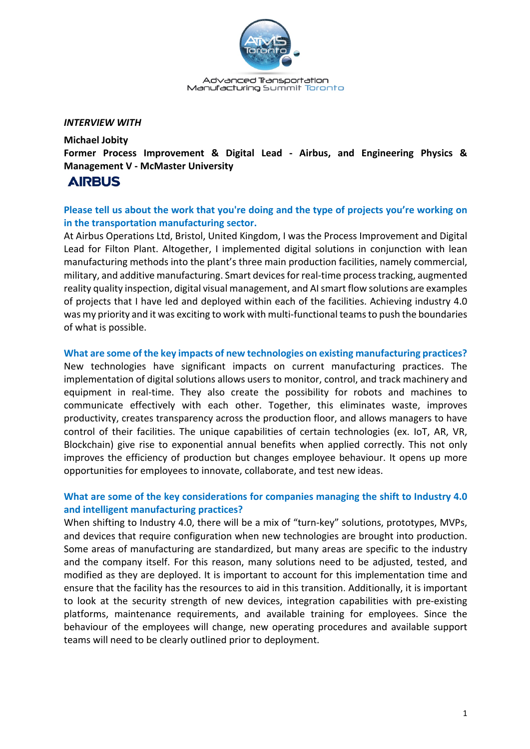

Advanced Transportation Manufacturing Summit Toronto

#### *INTERVIEW WITH*

**Michael Jobity Former Process Improvement & Digital Lead - Airbus, and Engineering Physics & Management V - McMaster University**

# **AIRBUS**

# **Please tell us about the work that you're doing and the type of projects you're working on in the transportation manufacturing sector.**

At Airbus Operations Ltd, Bristol, United Kingdom, I was the Process Improvement and Digital Lead for Filton Plant. Altogether, I implemented digital solutions in conjunction with lean manufacturing methods into the plant's three main production facilities, namely commercial, military, and additive manufacturing. Smart devices for real-time process tracking, augmented reality quality inspection, digital visual management, and AI smart flow solutions are examples of projects that I have led and deployed within each of the facilities. Achieving industry 4.0 was my priority and it was exciting to work with multi-functional teams to push the boundaries of what is possible.

#### **What are some of the key impacts of new technologies on existing manufacturing practices?**

New technologies have significant impacts on current manufacturing practices. The implementation of digital solutions allows users to monitor, control, and track machinery and equipment in real-time. They also create the possibility for robots and machines to communicate effectively with each other. Together, this eliminates waste, improves productivity, creates transparency across the production floor, and allows managers to have control of their facilities. The unique capabilities of certain technologies (ex. IoT, AR, VR, Blockchain) give rise to exponential annual benefits when applied correctly. This not only improves the efficiency of production but changes employee behaviour. It opens up more opportunities for employees to innovate, collaborate, and test new ideas.

# **What are some of the key considerations for companies managing the shift to Industry 4.0 and intelligent manufacturing practices?**

When shifting to Industry 4.0, there will be a mix of "turn-key" solutions, prototypes, MVPs, and devices that require configuration when new technologies are brought into production. Some areas of manufacturing are standardized, but many areas are specific to the industry and the company itself. For this reason, many solutions need to be adjusted, tested, and modified as they are deployed. It is important to account for this implementation time and ensure that the facility has the resources to aid in this transition. Additionally, it is important to look at the security strength of new devices, integration capabilities with pre-existing platforms, maintenance requirements, and available training for employees. Since the behaviour of the employees will change, new operating procedures and available support teams will need to be clearly outlined prior to deployment.